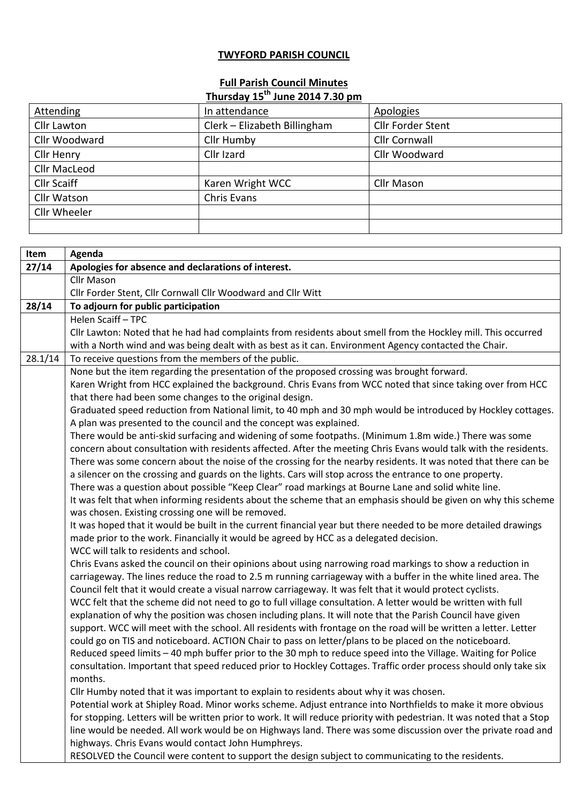## **TWYFORD PARISH COUNCIL**

## **Full Parish Council Minutes Thursday 15th June 2014 7.30 pm**

| Attending           | In attendance                | Apologies                |
|---------------------|------------------------------|--------------------------|
| Cllr Lawton         | Clerk - Elizabeth Billingham | <b>Cllr Forder Stent</b> |
| Cllr Woodward       | Cllr Humby                   | <b>Cllr Cornwall</b>     |
| Cllr Henry          | Cllr Izard                   | Cllr Woodward            |
| <b>Cllr MacLeod</b> |                              |                          |
| <b>Cllr Scaiff</b>  | Karen Wright WCC             | <b>Cllr Mason</b>        |
| <b>Cllr Watson</b>  | Chris Evans                  |                          |
| <b>Cllr Wheeler</b> |                              |                          |
|                     |                              |                          |
|                     |                              |                          |

| Item    | Agenda                                                                                                                 |
|---------|------------------------------------------------------------------------------------------------------------------------|
| 27/14   | Apologies for absence and declarations of interest.                                                                    |
|         | Cllr Mason                                                                                                             |
|         | Cllr Forder Stent, Cllr Cornwall Cllr Woodward and Cllr Witt                                                           |
| 28/14   | To adjourn for public participation                                                                                    |
|         | Helen Scaiff - TPC                                                                                                     |
|         | Cllr Lawton: Noted that he had had complaints from residents about smell from the Hockley mill. This occurred          |
|         | with a North wind and was being dealt with as best as it can. Environment Agency contacted the Chair.                  |
| 28.1/14 | To receive questions from the members of the public.                                                                   |
|         | None but the item regarding the presentation of the proposed crossing was brought forward.                             |
|         | Karen Wright from HCC explained the background. Chris Evans from WCC noted that since taking over from HCC             |
|         | that there had been some changes to the original design.                                                               |
|         | Graduated speed reduction from National limit, to 40 mph and 30 mph would be introduced by Hockley cottages.           |
|         | A plan was presented to the council and the concept was explained.                                                     |
|         | There would be anti-skid surfacing and widening of some footpaths. (Minimum 1.8m wide.) There was some                 |
|         | concern about consultation with residents affected. After the meeting Chris Evans would talk with the residents.       |
|         | There was some concern about the noise of the crossing for the nearby residents. It was noted that there can be        |
|         | a silencer on the crossing and guards on the lights. Cars will stop across the entrance to one property.               |
|         | There was a question about possible "Keep Clear" road markings at Bourne Lane and solid white line.                    |
|         | It was felt that when informing residents about the scheme that an emphasis should be given on why this scheme         |
|         | was chosen. Existing crossing one will be removed.                                                                     |
|         | It was hoped that it would be built in the current financial year but there needed to be more detailed drawings        |
|         | made prior to the work. Financially it would be agreed by HCC as a delegated decision.                                 |
|         | WCC will talk to residents and school.                                                                                 |
|         | Chris Evans asked the council on their opinions about using narrowing road markings to show a reduction in             |
|         | carriageway. The lines reduce the road to 2.5 m running carriageway with a buffer in the white lined area. The         |
|         | Council felt that it would create a visual narrow carriageway. It was felt that it would protect cyclists.             |
|         | WCC felt that the scheme did not need to go to full village consultation. A letter would be written with full          |
|         | explanation of why the position was chosen including plans. It will note that the Parish Council have given            |
|         | support. WCC will meet with the school. All residents with frontage on the road will be written a letter. Letter       |
|         | could go on TIS and noticeboard. ACTION Chair to pass on letter/plans to be placed on the noticeboard.                 |
|         | Reduced speed limits - 40 mph buffer prior to the 30 mph to reduce speed into the Village. Waiting for Police          |
|         | consultation. Important that speed reduced prior to Hockley Cottages. Traffic order process should only take six       |
|         | months.                                                                                                                |
|         | Cllr Humby noted that it was important to explain to residents about why it was chosen.                                |
|         | Potential work at Shipley Road. Minor works scheme. Adjust entrance into Northfields to make it more obvious           |
|         | for stopping. Letters will be written prior to work. It will reduce priority with pedestrian. It was noted that a Stop |
|         | line would be needed. All work would be on Highways land. There was some discussion over the private road and          |
|         | highways. Chris Evans would contact John Humphreys.                                                                    |
|         | RESOLVED the Council were content to support the design subject to communicating to the residents.                     |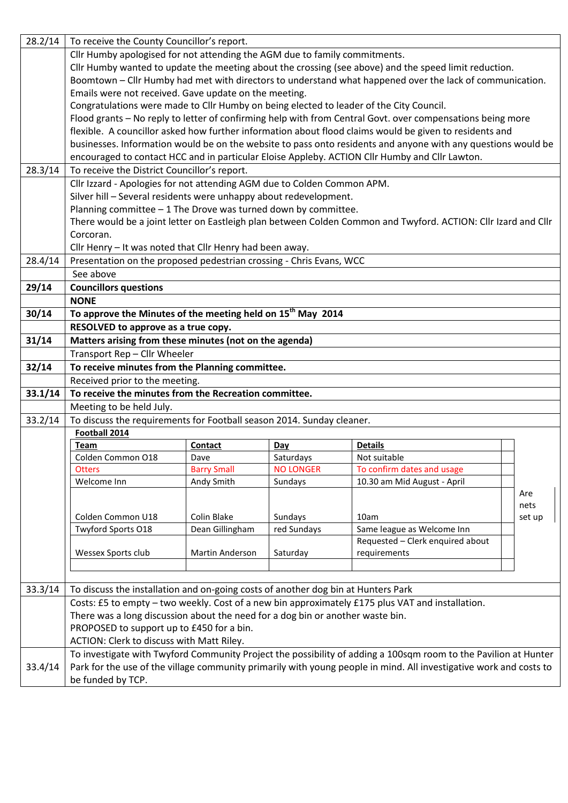| 28.2/14 | To receive the County Councillor's report.                                                               |                    |                  |                                                                                                                    |             |
|---------|----------------------------------------------------------------------------------------------------------|--------------------|------------------|--------------------------------------------------------------------------------------------------------------------|-------------|
|         | Cllr Humby apologised for not attending the AGM due to family commitments.                               |                    |                  |                                                                                                                    |             |
|         | Cllr Humby wanted to update the meeting about the crossing (see above) and the speed limit reduction.    |                    |                  |                                                                                                                    |             |
|         | Boomtown - Cllr Humby had met with directors to understand what happened over the lack of communication. |                    |                  |                                                                                                                    |             |
|         | Emails were not received. Gave update on the meeting.                                                    |                    |                  |                                                                                                                    |             |
|         |                                                                                                          |                    |                  | Congratulations were made to Cllr Humby on being elected to leader of the City Council.                            |             |
|         |                                                                                                          |                    |                  | Flood grants - No reply to letter of confirming help with from Central Govt. over compensations being more         |             |
|         |                                                                                                          |                    |                  | flexible. A councillor asked how further information about flood claims would be given to residents and            |             |
|         |                                                                                                          |                    |                  | businesses. Information would be on the website to pass onto residents and anyone with any questions would be      |             |
|         |                                                                                                          |                    |                  | encouraged to contact HCC and in particular Eloise Appleby. ACTION Cllr Humby and Cllr Lawton.                     |             |
| 28.3/14 | To receive the District Councillor's report.                                                             |                    |                  |                                                                                                                    |             |
|         | Cllr Izzard - Apologies for not attending AGM due to Colden Common APM.                                  |                    |                  |                                                                                                                    |             |
|         | Silver hill - Several residents were unhappy about redevelopment.                                        |                    |                  |                                                                                                                    |             |
|         | Planning committee $-1$ The Drove was turned down by committee.                                          |                    |                  |                                                                                                                    |             |
|         |                                                                                                          |                    |                  | There would be a joint letter on Eastleigh plan between Colden Common and Twyford. ACTION: Cllr Izard and Cllr     |             |
|         | Corcoran.                                                                                                |                    |                  |                                                                                                                    |             |
|         | Cllr Henry - It was noted that Cllr Henry had been away.                                                 |                    |                  |                                                                                                                    |             |
| 28.4/14 | Presentation on the proposed pedestrian crossing - Chris Evans, WCC                                      |                    |                  |                                                                                                                    |             |
|         | See above                                                                                                |                    |                  |                                                                                                                    |             |
| 29/14   | <b>Councillors questions</b>                                                                             |                    |                  |                                                                                                                    |             |
|         | <b>NONE</b>                                                                                              |                    |                  |                                                                                                                    |             |
| 30/14   | To approve the Minutes of the meeting held on 15 <sup>th</sup> May 2014                                  |                    |                  |                                                                                                                    |             |
|         | RESOLVED to approve as a true copy.                                                                      |                    |                  |                                                                                                                    |             |
| 31/14   | Matters arising from these minutes (not on the agenda)                                                   |                    |                  |                                                                                                                    |             |
|         | Transport Rep - Cllr Wheeler                                                                             |                    |                  |                                                                                                                    |             |
| 32/14   | To receive minutes from the Planning committee.                                                          |                    |                  |                                                                                                                    |             |
|         | Received prior to the meeting.                                                                           |                    |                  |                                                                                                                    |             |
| 33.1/14 | To receive the minutes from the Recreation committee.                                                    |                    |                  |                                                                                                                    |             |
|         | Meeting to be held July.                                                                                 |                    |                  |                                                                                                                    |             |
| 33.2/14 | To discuss the requirements for Football season 2014. Sunday cleaner.                                    |                    |                  |                                                                                                                    |             |
|         | Football 2014                                                                                            |                    |                  |                                                                                                                    |             |
|         | <b>Team</b>                                                                                              | Contact            | Day              | <b>Details</b>                                                                                                     |             |
|         | Colden Common O18                                                                                        | Dave               | Saturdays        | Not suitable                                                                                                       |             |
|         | <b>Otters</b>                                                                                            | <b>Barry Small</b> | <b>NO LONGER</b> | To confirm dates and usage                                                                                         |             |
|         | Welcome Inn                                                                                              | Andy Smith         | Sundays          | 10.30 am Mid August - April                                                                                        |             |
|         |                                                                                                          |                    |                  |                                                                                                                    | Are<br>nets |
|         | Colden Common U18                                                                                        | Colin Blake        | Sundays          | 10am                                                                                                               | set up      |
|         | Twyford Sports O18                                                                                       | Dean Gillingham    | red Sundays      | Same league as Welcome Inn                                                                                         |             |
|         |                                                                                                          |                    |                  | Requested - Clerk enquired about                                                                                   |             |
|         | Wessex Sports club                                                                                       | Martin Anderson    | Saturday         | requirements                                                                                                       |             |
|         |                                                                                                          |                    |                  |                                                                                                                    |             |
|         |                                                                                                          |                    |                  |                                                                                                                    |             |
| 33.3/14 | To discuss the installation and on-going costs of another dog bin at Hunters Park                        |                    |                  |                                                                                                                    |             |
|         |                                                                                                          |                    |                  | Costs: £5 to empty - two weekly. Cost of a new bin approximately £175 plus VAT and installation.                   |             |
|         | There was a long discussion about the need for a dog bin or another waste bin.                           |                    |                  |                                                                                                                    |             |
|         | PROPOSED to support up to £450 for a bin.                                                                |                    |                  |                                                                                                                    |             |
|         | ACTION: Clerk to discuss with Matt Riley.                                                                |                    |                  |                                                                                                                    |             |
|         |                                                                                                          |                    |                  | To investigate with Twyford Community Project the possibility of adding a 100sqm room to the Pavilion at Hunter    |             |
| 33.4/14 |                                                                                                          |                    |                  | Park for the use of the village community primarily with young people in mind. All investigative work and costs to |             |
|         | be funded by TCP.                                                                                        |                    |                  |                                                                                                                    |             |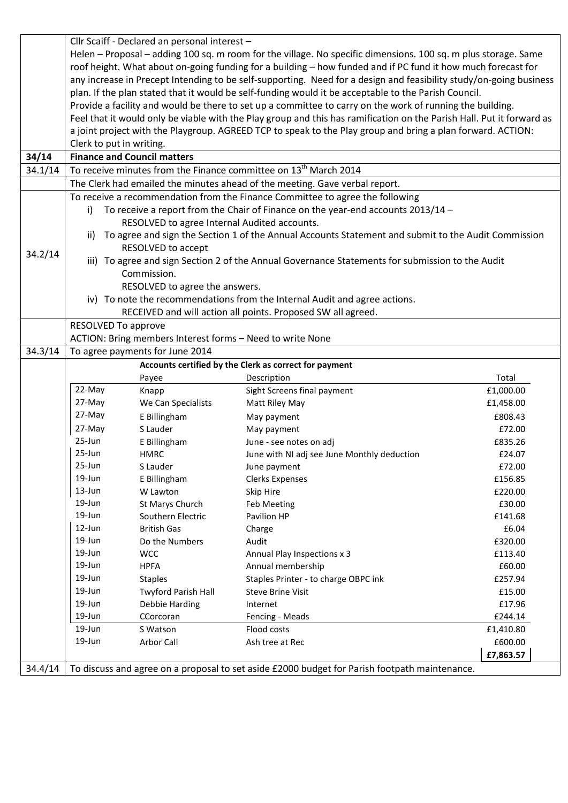|         |                          | Cllr Scaiff - Declared an personal interest -             |                                                                                                                       |                   |
|---------|--------------------------|-----------------------------------------------------------|-----------------------------------------------------------------------------------------------------------------------|-------------------|
|         |                          |                                                           | Helen – Proposal – adding 100 sq. m room for the village. No specific dimensions. 100 sq. m plus storage. Same        |                   |
|         |                          |                                                           | roof height. What about on-going funding for a building - how funded and if PC fund it how much forecast for          |                   |
|         |                          |                                                           | any increase in Precept Intending to be self-supporting. Need for a design and feasibility study/on-going business    |                   |
|         |                          |                                                           | plan. If the plan stated that it would be self-funding would it be acceptable to the Parish Council.                  |                   |
|         |                          |                                                           | Provide a facility and would be there to set up a committee to carry on the work of running the building.             |                   |
|         |                          |                                                           | Feel that it would only be viable with the Play group and this has ramification on the Parish Hall. Put it forward as |                   |
|         |                          |                                                           | a joint project with the Playgroup. AGREED TCP to speak to the Play group and bring a plan forward. ACTION:           |                   |
|         | Clerk to put in writing. |                                                           |                                                                                                                       |                   |
| 34/14   |                          | <b>Finance and Council matters</b>                        |                                                                                                                       |                   |
| 34.1/14 |                          |                                                           | To receive minutes from the Finance committee on 13 <sup>th</sup> March 2014                                          |                   |
|         |                          |                                                           | The Clerk had emailed the minutes ahead of the meeting. Gave verbal report.                                           |                   |
|         |                          |                                                           | To receive a recommendation from the Finance Committee to agree the following                                         |                   |
|         | i)                       |                                                           | To receive a report from the Chair of Finance on the year-end accounts 2013/14 -                                      |                   |
|         |                          | RESOLVED to agree Internal Audited accounts.              |                                                                                                                       |                   |
|         | ii).                     |                                                           | To agree and sign the Section 1 of the Annual Accounts Statement and submit to the Audit Commission                   |                   |
|         |                          | RESOLVED to accept                                        |                                                                                                                       |                   |
| 34.2/14 |                          |                                                           | iii) To agree and sign Section 2 of the Annual Governance Statements for submission to the Audit                      |                   |
|         |                          | Commission.                                               |                                                                                                                       |                   |
|         |                          | RESOLVED to agree the answers.                            |                                                                                                                       |                   |
|         |                          |                                                           | iv) To note the recommendations from the Internal Audit and agree actions.                                            |                   |
|         |                          |                                                           | RECEIVED and will action all points. Proposed SW all agreed.                                                          |                   |
|         | RESOLVED To approve      |                                                           |                                                                                                                       |                   |
|         |                          | ACTION: Bring members Interest forms - Need to write None |                                                                                                                       |                   |
| 34.3/14 |                          | To agree payments for June 2014                           |                                                                                                                       |                   |
|         |                          |                                                           | Accounts certified by the Clerk as correct for payment                                                                |                   |
|         |                          | Payee                                                     | Description                                                                                                           | Total             |
|         | 22-May                   | Knapp                                                     | Sight Screens final payment                                                                                           | £1,000.00         |
|         | 27-May                   | We Can Specialists                                        | Matt Riley May                                                                                                        | £1,458.00         |
|         | 27-May                   | E Billingham                                              | May payment                                                                                                           | £808.43           |
|         | 27-May                   | S Lauder                                                  | May payment                                                                                                           | £72.00            |
|         | 25-Jun                   | E Billingham                                              | June - see notes on adj                                                                                               | £835.26           |
|         | 25-Jun                   | <b>HMRC</b>                                               | June with NI adj see June Monthly deduction                                                                           | £24.07            |
|         | 25-Jun                   | S Lauder                                                  | June payment                                                                                                          | £72.00            |
|         | 19-Jun                   | E Billingham                                              | <b>Clerks Expenses</b>                                                                                                | £156.85           |
|         | 13-Jun                   | W Lawton                                                  | Skip Hire                                                                                                             | £220.00           |
|         | 19-Jun                   | St Marys Church                                           | Feb Meeting                                                                                                           | £30.00            |
|         | 19-Jun                   | Southern Electric                                         | Pavilion HP                                                                                                           | £141.68           |
|         | 12-Jun                   | <b>British Gas</b>                                        | Charge                                                                                                                | £6.04             |
|         | 19-Jun<br>19-Jun         | Do the Numbers                                            | Audit                                                                                                                 | £320.00           |
|         | 19-Jun                   | <b>WCC</b>                                                | Annual Play Inspections x 3<br>Annual membership                                                                      | £113.40           |
|         | 19-Jun                   | <b>HPFA</b>                                               |                                                                                                                       | £60.00            |
|         | 19-Jun                   | <b>Staples</b>                                            | Staples Printer - to charge OBPC ink<br><b>Steve Brine Visit</b>                                                      | £257.94<br>£15.00 |
|         | 19-Jun                   | <b>Twyford Parish Hall</b><br>Debbie Harding              | Internet                                                                                                              | £17.96            |
|         | 19-Jun                   | CCorcoran                                                 | Fencing - Meads                                                                                                       | £244.14           |
|         | 19-Jun                   | S Watson                                                  | Flood costs                                                                                                           | £1,410.80         |
|         | 19-Jun                   | Arbor Call                                                | Ash tree at Rec                                                                                                       | £600.00           |
|         |                          |                                                           |                                                                                                                       | £7,863.57         |
| 34.4/14 |                          |                                                           | To discuss and agree on a proposal to set aside £2000 budget for Parish footpath maintenance.                         |                   |
|         |                          |                                                           |                                                                                                                       |                   |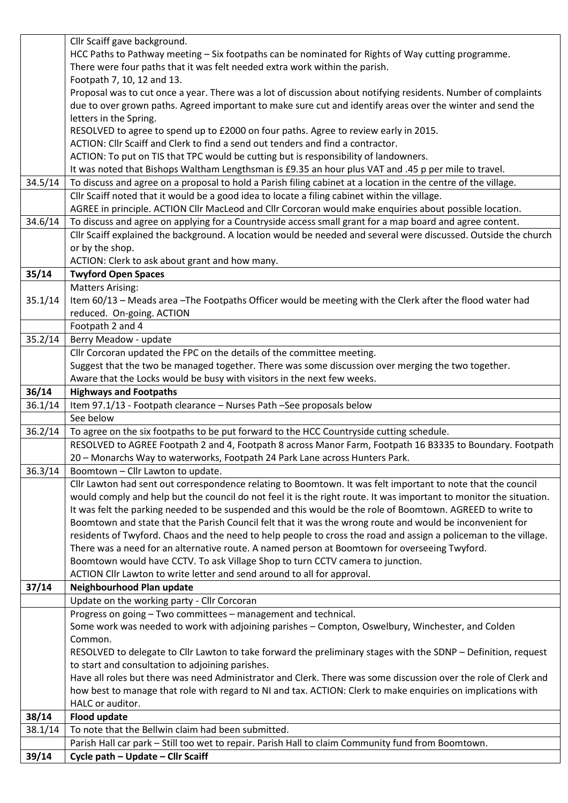|         | Cllr Scaiff gave background.                                                                                                            |
|---------|-----------------------------------------------------------------------------------------------------------------------------------------|
|         | HCC Paths to Pathway meeting - Six footpaths can be nominated for Rights of Way cutting programme.                                      |
|         | There were four paths that it was felt needed extra work within the parish.                                                             |
|         | Footpath 7, 10, 12 and 13.                                                                                                              |
|         | Proposal was to cut once a year. There was a lot of discussion about notifying residents. Number of complaints                          |
|         | due to over grown paths. Agreed important to make sure cut and identify areas over the winter and send the                              |
|         | letters in the Spring.                                                                                                                  |
|         | RESOLVED to agree to spend up to £2000 on four paths. Agree to review early in 2015.                                                    |
|         | ACTION: Cllr Scaiff and Clerk to find a send out tenders and find a contractor.                                                         |
|         | ACTION: To put on TIS that TPC would be cutting but is responsibility of landowners.                                                    |
|         | It was noted that Bishops Waltham Lengthsman is £9.35 an hour plus VAT and .45 p per mile to travel.                                    |
| 34.5/14 | To discuss and agree on a proposal to hold a Parish filing cabinet at a location in the centre of the village.                          |
|         | Cllr Scaiff noted that it would be a good idea to locate a filing cabinet within the village.                                           |
|         | AGREE in principle. ACTION Cllr MacLeod and Cllr Corcoran would make enquiries about possible location.                                 |
| 34.6/14 | To discuss and agree on applying for a Countryside access small grant for a map board and agree content.                                |
|         | Cllr Scaiff explained the background. A location would be needed and several were discussed. Outside the church                         |
|         | or by the shop.                                                                                                                         |
|         | ACTION: Clerk to ask about grant and how many.                                                                                          |
| 35/14   | <b>Twyford Open Spaces</b>                                                                                                              |
|         | <b>Matters Arising:</b>                                                                                                                 |
| 35.1/14 | Item 60/13 - Meads area - The Footpaths Officer would be meeting with the Clerk after the flood water had                               |
|         | reduced. On-going. ACTION                                                                                                               |
|         | Footpath 2 and 4                                                                                                                        |
| 35.2/14 | Berry Meadow - update                                                                                                                   |
|         | Cllr Corcoran updated the FPC on the details of the committee meeting.                                                                  |
|         | Suggest that the two be managed together. There was some discussion over merging the two together.                                      |
|         | Aware that the Locks would be busy with visitors in the next few weeks.                                                                 |
| 36/14   | <b>Highways and Footpaths</b>                                                                                                           |
| 36.1/14 | Item 97.1/13 - Footpath clearance - Nurses Path -See proposals below                                                                    |
|         | See below                                                                                                                               |
| 36.2/14 | To agree on the six footpaths to be put forward to the HCC Countryside cutting schedule.                                                |
|         |                                                                                                                                         |
|         | RESOLVED to AGREE Footpath 2 and 4, Footpath 8 across Manor Farm, Footpath 16 B3335 to Boundary. Footpath                               |
|         | 20 - Monarchs Way to waterworks, Footpath 24 Park Lane across Hunters Park.                                                             |
| 36.3/14 | Boomtown - Cllr Lawton to update.                                                                                                       |
|         | Cllr Lawton had sent out correspondence relating to Boomtown. It was felt important to note that the council                            |
|         | would comply and help but the council do not feel it is the right route. It was important to monitor the situation.                     |
|         | It was felt the parking needed to be suspended and this would be the role of Boomtown. AGREED to write to                               |
|         | Boomtown and state that the Parish Council felt that it was the wrong route and would be inconvenient for                               |
|         | residents of Twyford. Chaos and the need to help people to cross the road and assign a policeman to the village.                        |
|         | There was a need for an alternative route. A named person at Boomtown for overseeing Twyford.                                           |
|         | Boomtown would have CCTV. To ask Village Shop to turn CCTV camera to junction.                                                          |
|         | ACTION Cllr Lawton to write letter and send around to all for approval.                                                                 |
| 37/14   | Neighbourhood Plan update                                                                                                               |
|         | Update on the working party - Cllr Corcoran                                                                                             |
|         | Progress on going - Two committees - management and technical.                                                                          |
|         | Some work was needed to work with adjoining parishes - Compton, Oswelbury, Winchester, and Colden                                       |
|         | Common.                                                                                                                                 |
|         | RESOLVED to delegate to Cllr Lawton to take forward the preliminary stages with the SDNP - Definition, request                          |
|         | to start and consultation to adjoining parishes.                                                                                        |
|         | Have all roles but there was need Administrator and Clerk. There was some discussion over the role of Clerk and                         |
|         | how best to manage that role with regard to NI and tax. ACTION: Clerk to make enquiries on implications with                            |
|         | HALC or auditor.                                                                                                                        |
| 38/14   | <b>Flood update</b>                                                                                                                     |
| 38.1/14 | To note that the Bellwin claim had been submitted.                                                                                      |
| 39/14   | Parish Hall car park - Still too wet to repair. Parish Hall to claim Community fund from Boomtown.<br>Cycle path - Update - Cllr Scaiff |